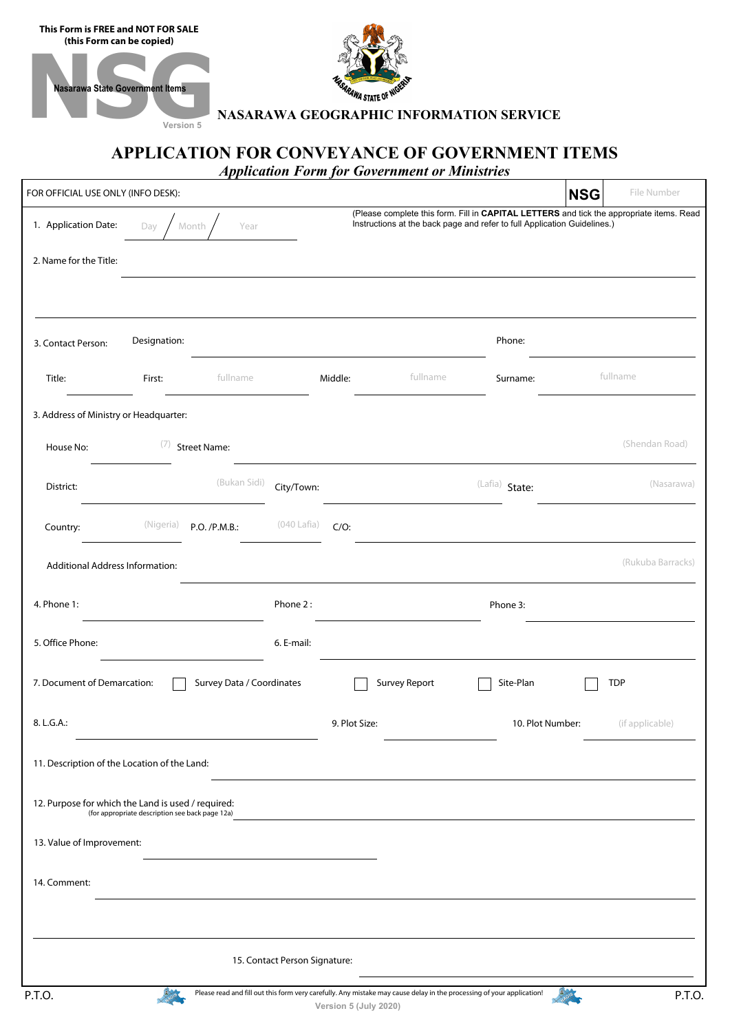|--|

**This Form is FREE and NOT FOR SALE (this Form can be copied)**

## **APPLICATION FOR CONVEYANCE OF GOVERNMENT ITEMS**

*Application Form for Government or Ministries*

| FOR OFFICIAL USE ONLY (INFO DESK):                 |                                                 |                           |             |               |                      |                                                                                                                                                                      | <b>NSG</b> | File Number       |
|----------------------------------------------------|-------------------------------------------------|---------------------------|-------------|---------------|----------------------|----------------------------------------------------------------------------------------------------------------------------------------------------------------------|------------|-------------------|
| 1. Application Date:                               | Day                                             | Month<br>Year             |             |               |                      | (Please complete this form. Fill in CAPITAL LETTERS and tick the appropriate items. Read<br>Instructions at the back page and refer to full Application Guidelines.) |            |                   |
| 2. Name for the Title:                             |                                                 |                           |             |               |                      |                                                                                                                                                                      |            |                   |
|                                                    |                                                 |                           |             |               |                      |                                                                                                                                                                      |            |                   |
| 3. Contact Person:                                 | Designation:                                    |                           |             |               |                      | Phone:                                                                                                                                                               |            |                   |
| Title:                                             | First:                                          | fullname                  |             | Middle:       | fullname             | Surname:                                                                                                                                                             |            | fullname          |
| 3. Address of Ministry or Headquarter:             |                                                 |                           |             |               |                      |                                                                                                                                                                      |            |                   |
| House No:                                          |                                                 | $(7)$ Street Name:        |             |               |                      |                                                                                                                                                                      |            | (Shendan Road)    |
| District:                                          |                                                 | (Bukan Sidi)              | City/Town:  |               |                      | (Lafia) State:                                                                                                                                                       |            | (Nasarawa)        |
| Country:                                           | (Nigeria)                                       | P.O. /P.M.B.:             | (040 Lafia) | $C/O$ :       |                      |                                                                                                                                                                      |            |                   |
| <b>Additional Address Information:</b>             |                                                 |                           |             |               |                      |                                                                                                                                                                      |            | (Rukuba Barracks) |
| 4. Phone 1:                                        |                                                 |                           | Phone 2:    |               |                      | Phone 3:                                                                                                                                                             |            |                   |
| 5. Office Phone:                                   |                                                 |                           | 6. E-mail:  |               |                      |                                                                                                                                                                      |            |                   |
| 7. Document of Demarcation:                        |                                                 | Survey Data / Coordinates |             |               | <b>Survey Report</b> | Site-Plan                                                                                                                                                            |            | <b>TDP</b>        |
| 8. L.G.A.:                                         |                                                 |                           |             | 9. Plot Size: |                      | 10. Plot Number:                                                                                                                                                     |            | (if applicable)   |
| 11. Description of the Location of the Land:       |                                                 |                           |             |               |                      |                                                                                                                                                                      |            |                   |
| 12. Purpose for which the Land is used / required: | (for appropriate description see back page 12a) |                           |             |               |                      |                                                                                                                                                                      |            |                   |
| 13. Value of Improvement:                          |                                                 |                           |             |               |                      |                                                                                                                                                                      |            |                   |
| 14. Comment:                                       |                                                 |                           |             |               |                      |                                                                                                                                                                      |            |                   |
|                                                    |                                                 |                           |             |               |                      |                                                                                                                                                                      |            |                   |
| 15. Contact Person Signature:                      |                                                 |                           |             |               |                      |                                                                                                                                                                      |            |                   |